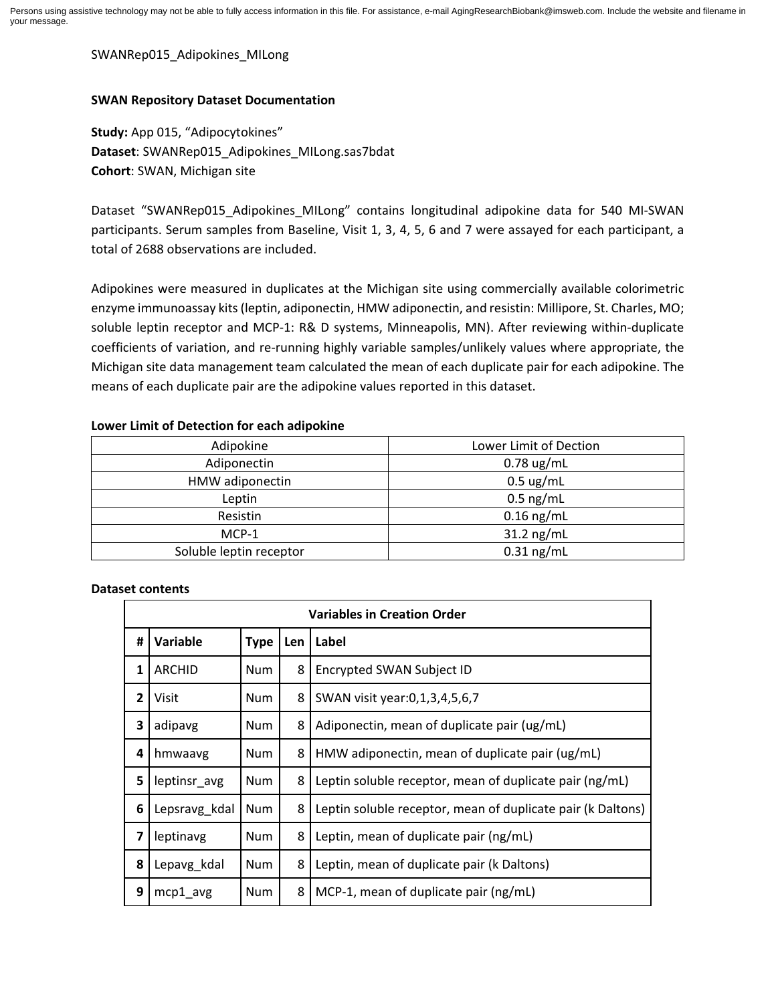SWANRep015\_Adipokines\_MILong

## **SWAN Repository Dataset Documentation**

**Study:** App 015, "Adipocytokines" **Dataset**: SWANRep015\_Adipokines\_MILong.sas7bdat **Cohort**: SWAN, Michigan site

Dataset "SWANRep015 Adipokines MILong" contains longitudinal adipokine data for 540 MI-SWAN participants. Serum samples from Baseline, Visit 1, 3, 4, 5, 6 and 7 were assayed for each participant, a total of 2688 observations are included.

Adipokines were measured in duplicates at the Michigan site using commercially available colorimetric enzyme immunoassay kits (leptin, adiponectin, HMW adiponectin, and resistin: Millipore, St. Charles, MO; soluble leptin receptor and MCP-1: R& D systems, Minneapolis, MN). After reviewing within-duplicate coefficients of variation, and re-running highly variable samples/unlikely values where appropriate, the Michigan site data management team calculated the mean of each duplicate pair for each adipokine. The means of each duplicate pair are the adipokine values reported in this dataset.

## **Lower Limit of Detection for each adipokine**

| Adipokine               | Lower Limit of Dection |  |  |
|-------------------------|------------------------|--|--|
| Adiponectin             | $0.78$ ug/mL           |  |  |
| HMW adiponectin         | $0.5 \text{ ug/mL}$    |  |  |
| Leptin                  | $0.5$ ng/mL            |  |  |
| Resistin                | $0.16$ ng/mL           |  |  |
| MCP-1                   | $31.2$ ng/mL           |  |  |
| Soluble leptin receptor | $0.31$ ng/mL           |  |  |

## **Dataset contents**

| <b>Variables in Creation Order</b> |               |             |     |                                                             |  |  |
|------------------------------------|---------------|-------------|-----|-------------------------------------------------------------|--|--|
| #                                  | Variable      | <b>Type</b> | Len | Label                                                       |  |  |
| $\mathbf{1}$                       | <b>ARCHID</b> | Num         | 8   | Encrypted SWAN Subject ID                                   |  |  |
| $\overline{2}$                     | Visit         | <b>Num</b>  | 8   | SWAN visit year: 0, 1, 3, 4, 5, 6, 7                        |  |  |
| 3                                  | adipavg       | <b>Num</b>  | 8   | Adiponectin, mean of duplicate pair (ug/mL)                 |  |  |
| 4                                  | hmwaavg       | <b>Num</b>  | 8   | HMW adiponectin, mean of duplicate pair (ug/mL)             |  |  |
| 5                                  | leptinsr avg  | <b>Num</b>  | 8   | Leptin soluble receptor, mean of duplicate pair (ng/mL)     |  |  |
| 6                                  | Lepsravg_kdal | Num         | 8   | Leptin soluble receptor, mean of duplicate pair (k Daltons) |  |  |
| $\overline{\mathbf{z}}$            | leptinavg     | <b>Num</b>  | 8   | Leptin, mean of duplicate pair (ng/mL)                      |  |  |
| 8                                  | Lepavg kdal   | Num         | 8   | Leptin, mean of duplicate pair (k Daltons)                  |  |  |
| 9                                  | $mcp1$ avg    | Num         | 8   | MCP-1, mean of duplicate pair (ng/mL)                       |  |  |